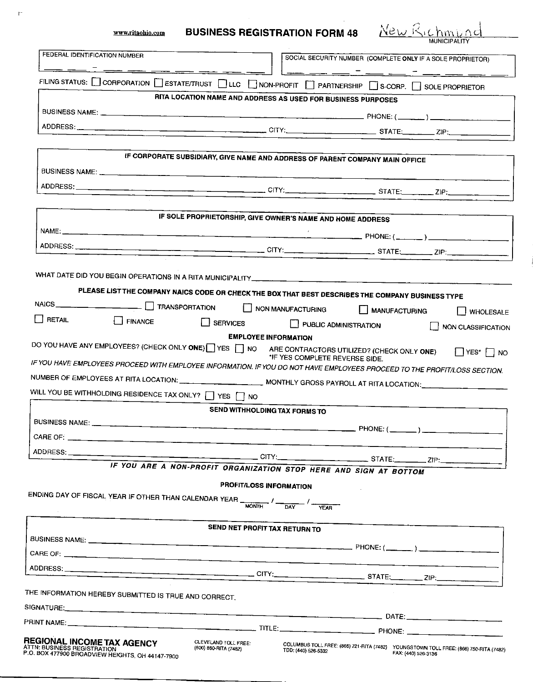www.ritaohio.com

 $\bar{\Gamma}$ 

## **BUSINESS REGISTRATION FORM 48**

New Richmund

| FEDERAL IDENTIFICATION NUMBER                                                                                                                                                            |                                                                              | SOCIAL SECURITY NUMBER (COMPLETE ONLY IF A SOLE PROPRIETOR) |                       |                                                                                       |
|------------------------------------------------------------------------------------------------------------------------------------------------------------------------------------------|------------------------------------------------------------------------------|-------------------------------------------------------------|-----------------------|---------------------------------------------------------------------------------------|
| FILING STATUS: $\Box$ CORPORATION $\Box$ ESTATE/TRUST $\Box$ LLC $\Box$ NON-PROFIT $\Box$ PARTNERSHIP $\Box$ S-CORP. $\Box$ SOLE PROPRIETOR                                              |                                                                              | $\mathsf{L}$ $\rightarrow$                                  |                       | _ __ _ _ _ _ _ _ _ _ _ _ _ _                                                          |
|                                                                                                                                                                                          | RITA LOCATION NAME AND ADDRESS AS USED FOR BUSINESS PURPOSES                 |                                                             |                       |                                                                                       |
|                                                                                                                                                                                          |                                                                              |                                                             |                       |                                                                                       |
|                                                                                                                                                                                          |                                                                              |                                                             |                       |                                                                                       |
|                                                                                                                                                                                          |                                                                              |                                                             |                       |                                                                                       |
|                                                                                                                                                                                          | IF CORPORATE SUBSIDIARY, GIVE NAME AND ADDRESS OF PARENT COMPANY MAIN OFFICE |                                                             |                       |                                                                                       |
|                                                                                                                                                                                          |                                                                              |                                                             |                       |                                                                                       |
|                                                                                                                                                                                          |                                                                              |                                                             |                       |                                                                                       |
|                                                                                                                                                                                          |                                                                              |                                                             |                       |                                                                                       |
|                                                                                                                                                                                          | IF SOLE PROPRIETORSHIP, GIVE OWNER'S NAME AND HOME ADDRESS                   |                                                             |                       |                                                                                       |
|                                                                                                                                                                                          |                                                                              |                                                             |                       |                                                                                       |
|                                                                                                                                                                                          |                                                                              |                                                             |                       |                                                                                       |
|                                                                                                                                                                                          |                                                                              |                                                             |                       |                                                                                       |
|                                                                                                                                                                                          |                                                                              |                                                             |                       |                                                                                       |
|                                                                                                                                                                                          |                                                                              |                                                             |                       |                                                                                       |
| PLEASE LIST THE COMPANY NAICS CODE OR CHECK THE BOX THAT BEST DESCRIBES THE COMPANY BUSINESS TYPE                                                                                        |                                                                              |                                                             |                       |                                                                                       |
| NAICS <u>______________</u> _________________ _ TRANSPORTATION _________ NON MANUFACTURING                                                                                               |                                                                              |                                                             | <b>MANUFACTURING</b>  | WHOLESALE                                                                             |
| $\Box$ RETAIL<br><b>FINANCE</b>                                                                                                                                                          | $\Box$ SERVICES                                                              |                                                             | PUBLIC ADMINISTRATION | NON CLASSIFICATION                                                                    |
| NUMBER OF EMPLOYEES AT RITA LOCATION: __________________________ MONTHLY GROSS PAYROLL AT RITA LOCATION:_____________________<br>WILL YOU BE WITHHOLDING RESIDENCE TAX ONLY? IF YES TINO |                                                                              |                                                             |                       |                                                                                       |
|                                                                                                                                                                                          | SEND WITHHOLDING TAX FORMS TO                                                |                                                             |                       |                                                                                       |
|                                                                                                                                                                                          |                                                                              |                                                             |                       |                                                                                       |
| CARE OF:                                                                                                                                                                                 |                                                                              |                                                             |                       |                                                                                       |
|                                                                                                                                                                                          |                                                                              |                                                             |                       |                                                                                       |
|                                                                                                                                                                                          |                                                                              |                                                             |                       |                                                                                       |
|                                                                                                                                                                                          | IF YOU ARE A NON-PROFIT ORGANIZATION STOP HERE AND SIGN AT BOTTOM            |                                                             |                       |                                                                                       |
|                                                                                                                                                                                          | PROFIT/LOSS INFORMATION                                                      |                                                             |                       |                                                                                       |
| ENDING DAY OF FISCAL YEAR IF OTHER THAN CALENDAR YEAR $\frac{1}{\text{MONTH}}$ / $\frac{1}{\text{DAY}}$ / $\frac{1}{\text{YEAR}}$                                                        |                                                                              |                                                             |                       |                                                                                       |
|                                                                                                                                                                                          |                                                                              |                                                             |                       |                                                                                       |
|                                                                                                                                                                                          | SEND NET PROFIT TAX RETURN TO                                                |                                                             |                       |                                                                                       |
|                                                                                                                                                                                          |                                                                              |                                                             |                       |                                                                                       |
|                                                                                                                                                                                          |                                                                              |                                                             |                       |                                                                                       |
|                                                                                                                                                                                          |                                                                              |                                                             |                       |                                                                                       |
| THE INFORMATION HEREBY SUBMITTED IS TRUE AND CORRECT.                                                                                                                                    |                                                                              |                                                             |                       |                                                                                       |
|                                                                                                                                                                                          |                                                                              |                                                             |                       |                                                                                       |
|                                                                                                                                                                                          |                                                                              |                                                             |                       |                                                                                       |
|                                                                                                                                                                                          |                                                                              |                                                             |                       |                                                                                       |
| REGIONAL INCOME TAX AGENCY<br>ATTN: BUSINESS REGISTRATION<br>P.O. BOX 477900 BROADVIEW HEIGHTS, OH 44147-7900                                                                            | CLEVELAND TOLL FREE:<br>(800) 860-RITA (7482)                                | TDD: (440) 526-5332                                         | FAX: (440) 526-3136   | COLUMBUS TOLL FREE: (866) 721-RITA (7482) YOUNGSTOWN TOLL FREE: (866) 750-RITA (7482) |